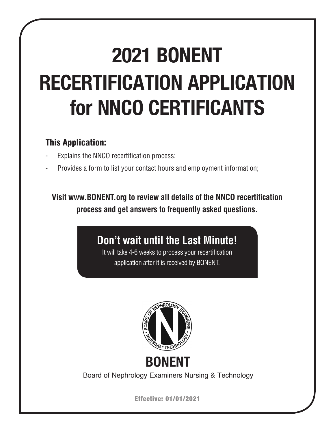# **2021 BONENT RECERTIFICATION APPLICATION for NNCO CERTIFICANTS**

# This Application:

- Explains the NNCO recertification process;
- Provides a form to list your contact hours and employment information;

**Visit www.BONENT.org to review all details of the NNCO recertification process and get answers to frequently asked questions.**

**Don't wait until the Last Minute!**

It will take 4-6 weeks to process your recertification application after it is received by BONENT.



**BONENT**

Board of Nephrology Examiners Nursing & Technology

Effective: 01/01/2021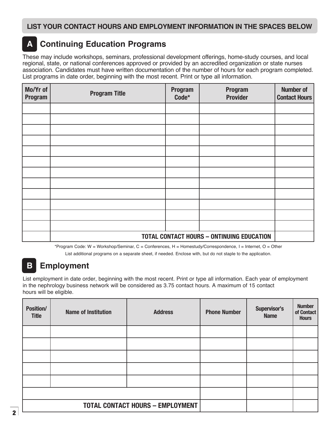# **A Continuing Education Programs**

These may include workshops, seminars, professional development offerings, home-study courses, and local regional, state, or national conferences approved or provided by an accredited organization or state nurses association. Candidates must have written documentation of the number of hours for each program completed. List programs in date order, beginning with the most recent. Print or type all information.

| Mo/Yr of<br>Program | <b>Program Title</b>                             | <b>Program</b><br>Code* | <b>Program</b><br><b>Provider</b> | <b>Number of</b><br><b>Contact Hours</b> |  |  |  |
|---------------------|--------------------------------------------------|-------------------------|-----------------------------------|------------------------------------------|--|--|--|
|                     |                                                  |                         |                                   |                                          |  |  |  |
|                     |                                                  |                         |                                   |                                          |  |  |  |
|                     |                                                  |                         |                                   |                                          |  |  |  |
|                     |                                                  |                         |                                   |                                          |  |  |  |
|                     |                                                  |                         |                                   |                                          |  |  |  |
|                     |                                                  |                         |                                   |                                          |  |  |  |
|                     |                                                  |                         |                                   |                                          |  |  |  |
|                     |                                                  |                         |                                   |                                          |  |  |  |
|                     |                                                  |                         |                                   |                                          |  |  |  |
|                     |                                                  |                         |                                   |                                          |  |  |  |
|                     |                                                  |                         |                                   |                                          |  |  |  |
|                     |                                                  |                         |                                   |                                          |  |  |  |
|                     | <b>TOTAL CONTACT HOURS - ONTINUING EDUCATION</b> |                         |                                   |                                          |  |  |  |

\*Program Code: W = Workshop/Seminar, C = Conferences, H = Homestudy/Correspondence, I = Internet, O = Other

List additional programs on a separate sheet, if needed. Enclose with, but do not staple to the application.

# **B Employment**

List employment in date order, beginning with the most recent. Print or type all information. Each year of employment in the nephrology business network will be considered as 3.75 contact hours. A maximum of 15 contact hours will be eligible.

| <b>Position/</b><br><b>Title</b>        | <b>Name of Institution</b> | <b>Address</b> | <b>Phone Number</b> | Supervisor's<br><b>Name</b> | <b>Number</b><br>of Contact<br><b>Hours</b> |
|-----------------------------------------|----------------------------|----------------|---------------------|-----------------------------|---------------------------------------------|
|                                         |                            |                |                     |                             |                                             |
|                                         |                            |                |                     |                             |                                             |
|                                         |                            |                |                     |                             |                                             |
|                                         |                            |                |                     |                             |                                             |
|                                         |                            |                |                     |                             |                                             |
|                                         |                            |                |                     |                             |                                             |
| <b>TOTAL CONTACT HOURS - EMPLOYMENT</b> |                            |                |                     |                             |                                             |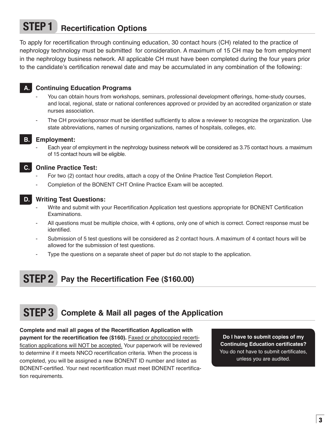# **STEP 1 Recertification Options**

To apply for recertification through continuing education, 30 contact hours (CH) related to the practice of nephrology technology must be submitted for consideration. A maximum of 15 CH may be from employment in the nephrology business network. All applicable CH must have been completed during the four years prior to the candidate's certification renewal date and may be accumulated in any combination of the following:

#### **A. Continuing Education Programs**

- You can obtain hours from workshops, seminars, professional development offerings, home-study courses, and local, regional, state or national conferences approved or provided by an accredited organization or state nurses association.
- The CH provider/sponsor must be identified sufficiently to allow a reviewer to recognize the organization. Use state abbreviations, names of nursing organizations, names of hospitals, colleges, etc.

#### **B. Employment:**

Each year of employment in the nephrology business network will be considered as 3.75 contact hours. a maximum of 15 contact hours will be eligible.



#### **C. Online Practice Test:**

- For two (2) contact hour credits, attach a copy of the Online Practice Test Completion Report.
- Completion of the BONENT CHT Online Practice Exam will be accepted.



#### **D. Writing Test Questions:**

- Write and submit with your Recertification Application test questions appropriate for BONENT Certification Examinations.
- All questions must be multiple choice, with 4 options, only one of which is correct. Correct response must be identified.
- Submission of 5 test questions will be considered as 2 contact hours. A maximum of 4 contact hours will be allowed for the submission of test questions.
- Type the questions on a separate sheet of paper but do not staple to the application.

# **STEP 2 Pay the Recertification Fee (\$160.00)**

# **STEP 3 Complete & Mail all pages of the Application**

**Complete and mail all pages of the Recertification Application with payment for the recertification fee (\$160).** Faxed or photocopied recertification applications will NOT be accepted. Your paperwork will be reviewed to determine if it meets NNCO recertification criteria. When the process is completed, you will be assigned a new BONENT ID number and listed as BONENT-certified. Your next recertification must meet BONENT recertification requirements.

**Do I have to submit copies of my Continuing Education certificates?**  You do not have to submit certificates, unless you are audited.